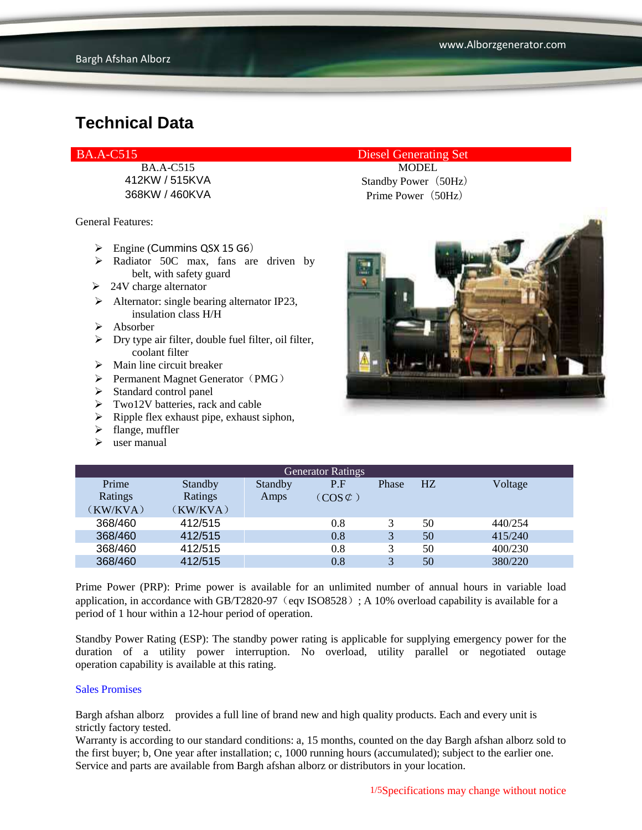General Features:

- $\triangleright$  Engine (Cummins QSX 15 G6)
- $\triangleright$  Radiator 50C max, fans are driven by belt, with safety guard
- $\geq$  24V charge alternator
- $\triangleright$  Alternator: single bearing alternator IP23, insulation class H/H
- Absorber
- $\triangleright$  Dry type air filter, double fuel filter, oil filter, coolant filter
- $\triangleright$  Main line circuit breaker
- $\triangleright$  Permanent Magnet Generator (PMG)
- $\triangleright$  Standard control panel
- $\triangleright$  Two12V batteries, rack and cable
- $\triangleright$  Ripple flex exhaust pipe, exhaust siphon,
- $\blacktriangleright$  flange, muffler
- $\triangleright$  user manual

#### BA.A-C515 Diesel Generating Set

BA.A-C515 MODEL 412KW / 515KVA Standby Power (50Hz) 368KW / 460KVA Prime Power(50Hz)



| <b>Generator Ratings</b> |          |         |                     |       |    |         |
|--------------------------|----------|---------|---------------------|-------|----|---------|
| Prime                    | Standby  | Standby | P.F                 | Phase | HZ | Voltage |
| Ratings                  | Ratings  | Amps    | $(COS \mathcal{L})$ |       |    |         |
| (KW/KVA)                 | (KW/KVA) |         |                     |       |    |         |
| 368/460                  | 412/515  |         | 0.8                 |       | 50 | 440/254 |
| 368/460                  | 412/515  |         | 0.8                 | 3     | 50 | 415/240 |
| 368/460                  | 412/515  |         | 0.8                 | 3     | 50 | 400/230 |
| 368/460                  | 412/515  |         | 0.8                 | 3     | 50 | 380/220 |

Prime Power (PRP): Prime power is available for an unlimited number of annual hours in variable load application, in accordance with GB/T2820-97 (eqv ISO8528); A 10% overload capability is available for a period of 1 hour within a 12-hour period of operation.

Standby Power Rating (ESP): The standby power rating is applicable for supplying emergency power for the duration of a utility power interruption. No overload, utility parallel or negotiated outage operation capability is available at this rating.

#### Sales Promises

Bargh afshan alborz provides a full line of brand new and high quality products. Each and every unit is strictly factory tested.

Warranty is according to our standard conditions: a, 15 months, counted on the day Bargh afshan alborz sold to the first buyer; b, One year after installation; c, 1000 running hours (accumulated); subject to the earlier one. Service and parts are available from Bargh afshan alborz or distributors in your location.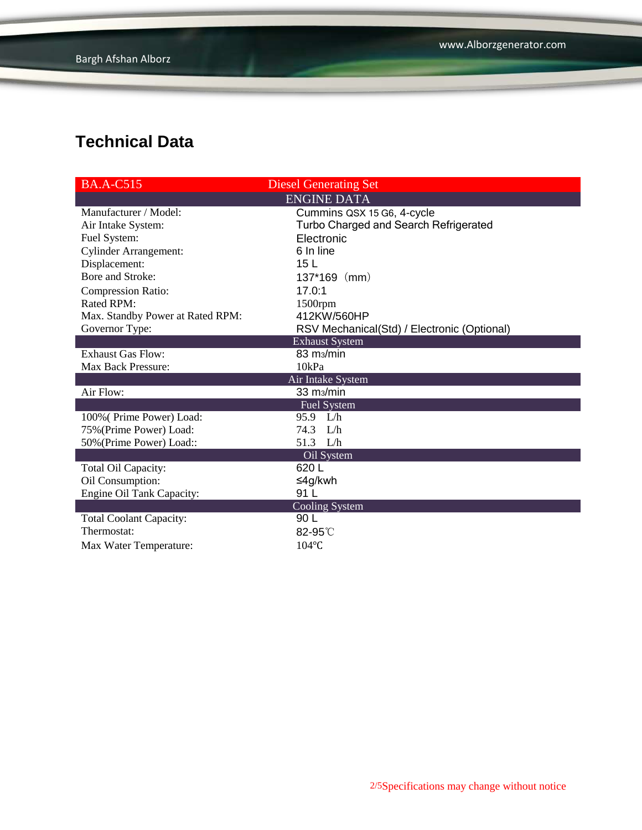| <b>BA.A-C515</b>                 | <b>Diesel Generating Set</b>                |
|----------------------------------|---------------------------------------------|
|                                  | <b>ENGINE DATA</b>                          |
| Manufacturer / Model:            | Cummins QSX 15 G6, 4-cycle                  |
| Air Intake System:               | Turbo Charged and Search Refrigerated       |
| Fuel System:                     | Electronic                                  |
| <b>Cylinder Arrangement:</b>     | 6 In line                                   |
| Displacement:                    | 15 <sub>L</sub>                             |
| Bore and Stroke:                 | $137*169$ (mm)                              |
| <b>Compression Ratio:</b>        | 17.0:1                                      |
| Rated RPM:                       | $1500$ rpm                                  |
| Max. Standby Power at Rated RPM: | 412KW/560HP                                 |
| Governor Type:                   | RSV Mechanical(Std) / Electronic (Optional) |
|                                  | <b>Exhaust System</b>                       |
| <b>Exhaust Gas Flow:</b>         | 83 m <sub>3</sub> /min                      |
| <b>Max Back Pressure:</b>        | 10kPa                                       |
|                                  | Air Intake System                           |
| Air Flow:                        | 33 m <sub>3</sub> /min                      |
|                                  | Fuel System                                 |
| 100% (Prime Power) Load:         | 95.9 L/h                                    |
| 75% (Prime Power) Load:          | 74.3 L/h                                    |
| 50% (Prime Power) Load::         | 51.3 L/h                                    |
|                                  | Oil System                                  |
| Total Oil Capacity:              | 620L                                        |
| Oil Consumption:                 | ≤4g/kwh                                     |
| Engine Oil Tank Capacity:        | 91 L                                        |
|                                  | <b>Cooling System</b>                       |
| <b>Total Coolant Capacity:</b>   | 90 L                                        |
| Thermostat:                      | 82-95°C                                     |
| Max Water Temperature:           | $104$ °C                                    |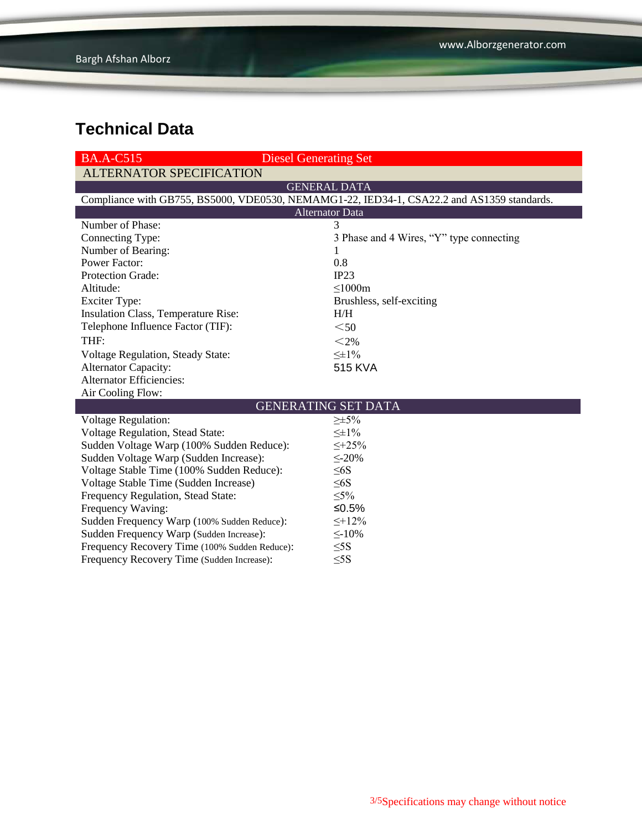| <b>BA.A-C515</b>                              | <b>Diesel Generating Set</b>                                                               |  |  |  |
|-----------------------------------------------|--------------------------------------------------------------------------------------------|--|--|--|
| <b>ALTERNATOR SPECIFICATION</b>               |                                                                                            |  |  |  |
|                                               | <b>GENERAL DATA</b>                                                                        |  |  |  |
|                                               | Compliance with GB755, BS5000, VDE0530, NEMAMG1-22, IED34-1, CSA22.2 and AS1359 standards. |  |  |  |
| <b>Alternator Data</b>                        |                                                                                            |  |  |  |
| Number of Phase:                              | 3                                                                                          |  |  |  |
| Connecting Type:                              | 3 Phase and 4 Wires, "Y" type connecting                                                   |  |  |  |
| Number of Bearing:                            | 1                                                                                          |  |  |  |
| <b>Power Factor:</b>                          | 0.8                                                                                        |  |  |  |
| <b>Protection Grade:</b>                      | IP23                                                                                       |  |  |  |
| Altitude:                                     | $\leq$ 1000m                                                                               |  |  |  |
| <b>Exciter Type:</b>                          | Brushless, self-exciting                                                                   |  |  |  |
| Insulation Class, Temperature Rise:           | H/H                                                                                        |  |  |  |
| Telephone Influence Factor (TIF):             | $50$                                                                                       |  |  |  |
| THF:                                          | $<$ 2%                                                                                     |  |  |  |
| Voltage Regulation, Steady State:             | $\leq \pm 1\%$                                                                             |  |  |  |
| <b>Alternator Capacity:</b>                   | <b>515 KVA</b>                                                                             |  |  |  |
| <b>Alternator Efficiencies:</b>               |                                                                                            |  |  |  |
| Air Cooling Flow:                             |                                                                                            |  |  |  |
| <b>GENERATING SET DATA</b>                    |                                                                                            |  |  |  |
| Voltage Regulation:                           | $\geq \pm 5\%$                                                                             |  |  |  |
| Voltage Regulation, Stead State:              | $\leq \pm 1\%$                                                                             |  |  |  |
| Sudden Voltage Warp (100% Sudden Reduce):     | $\leq +25\%$                                                                               |  |  |  |
| Sudden Voltage Warp (Sudden Increase):        | $\leq$ -20%                                                                                |  |  |  |
| Voltage Stable Time (100% Sudden Reduce):     | $\leq 6S$                                                                                  |  |  |  |
| Voltage Stable Time (Sudden Increase)         | $\leq 6S$                                                                                  |  |  |  |
| Frequency Regulation, Stead State:            | $\leq 5\%$                                                                                 |  |  |  |
| Frequency Waving:                             | ≤ $0.5%$                                                                                   |  |  |  |
| Sudden Frequency Warp (100% Sudden Reduce):   | $\leq +12\%$                                                                               |  |  |  |
| Sudden Frequency Warp (Sudden Increase):      | $\leq$ -10%                                                                                |  |  |  |
| Frequency Recovery Time (100% Sudden Reduce): | $\leq$ 5S                                                                                  |  |  |  |
| Frequency Recovery Time (Sudden Increase):    | $\leq$ 5S                                                                                  |  |  |  |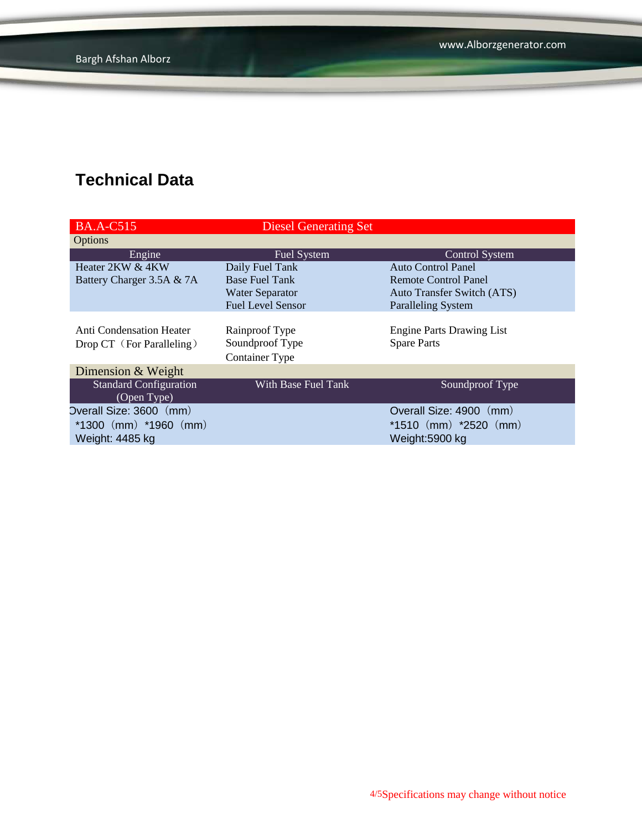| <b>BA.A-C515</b>              | <b>Diesel Generating Set</b> |                                   |
|-------------------------------|------------------------------|-----------------------------------|
| <b>Options</b>                |                              |                                   |
| Engine                        | <b>Fuel System</b>           | <b>Control System</b>             |
| Heater 2KW & 4KW              | Daily Fuel Tank              | Auto Control Panel                |
| Battery Charger 3.5A & 7A     | <b>Base Fuel Tank</b>        | <b>Remote Control Panel</b>       |
|                               | <b>Water Separator</b>       | <b>Auto Transfer Switch (ATS)</b> |
|                               | <b>Fuel Level Sensor</b>     | <b>Paralleling System</b>         |
|                               |                              |                                   |
| Anti Condensation Heater      | Rainproof Type               | <b>Engine Parts Drawing List</b>  |
| Drop CT (For Paralleling)     | Soundproof Type              | <b>Spare Parts</b>                |
|                               | <b>Container Type</b>        |                                   |
| Dimension & Weight            |                              |                                   |
| <b>Standard Configuration</b> | With Base Fuel Tank          | Soundproof Type                   |
| (Open Type)                   |                              |                                   |
| Overall Size: 3600 (mm)       |                              | Overall Size: 4900 (mm)           |
| $*1300$ (mm) $*1960$ (mm)     |                              | $*1510$ (mm) $*2520$ (mm)         |
| Weight: 4485 kg               |                              | Weight:5900 kg                    |